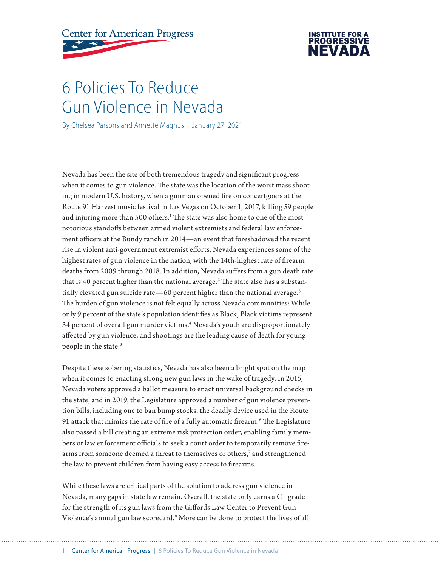# **Center for American Progress**



# 6 Policies To Reduce Gun Violence in Nevada

By Chelsea Parsons and Annette Magnus January 27, 2021

Nevada has been the site of both tremendous tragedy and significant progress when it comes to gun violence. The state was the location of the worst mass shooting in modern U.S. history, when a gunman opened fire on concertgoers at the Route 91 Harvest music festival in Las Vegas on October 1, 2017, killing 59 people and injuring more than 500 others.<sup>1</sup> The state was also home to one of the most notorious standoffs between armed violent extremists and federal law enforcement officers at the Bundy ranch in 2014—an event that foreshadowed the recent rise in violent anti-government extremist efforts. Nevada experiences some of the highest rates of gun violence in the nation, with the 14th-highest rate of firearm deaths from 2009 through 2018. In addition, Nevada suffers from a gun death rate that is 40 percent higher than the national average. $^{\rm 2}$  The state also has a substantially elevated gun suicide rate—60 percent higher than the national average.<sup>3</sup> The burden of gun violence is not felt equally across Nevada communities: While only 9 percent of the state's population identifies as Black, Black victims represent 34 percent of overall gun murder victims.4 Nevada's youth are disproportionately affected by gun violence, and shootings are the leading cause of death for young people in the state.<sup>5</sup>

Despite these sobering statistics, Nevada has also been a bright spot on the map when it comes to enacting strong new gun laws in the wake of tragedy. In 2016, Nevada voters approved a ballot measure to enact universal background checks in the state, and in 2019, the Legislature approved a number of gun violence prevention bills, including one to ban bump stocks, the deadly device used in the Route 91 attack that mimics the rate of fire of a fully automatic firearm.6 The Legislature also passed a bill creating an extreme risk protection order, enabling family members or law enforcement officials to seek a court order to temporarily remove firearms from someone deemed a threat to themselves or others,<sup>7</sup> and strengthened the law to prevent children from having easy access to firearms.

While these laws are critical parts of the solution to address gun violence in Nevada, many gaps in state law remain. Overall, the state only earns a C+ grade for the strength of its gun laws from the Giffords Law Center to Prevent Gun Violence's annual gun law scorecard.8 More can be done to protect the lives of all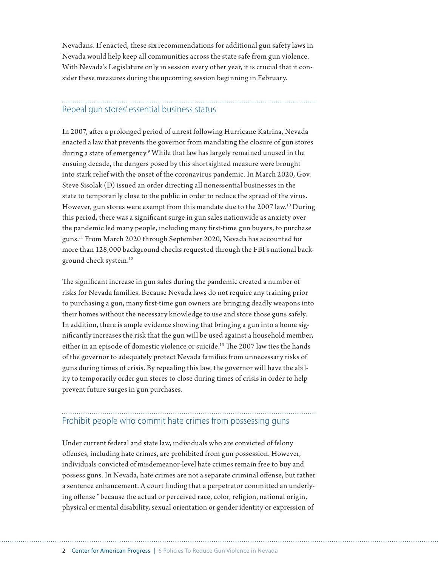Nevadans. If enacted, these six recommendations for additional gun safety laws in Nevada would help keep all communities across the state safe from gun violence. With Nevada's Legislature only in session every other year, it is crucial that it consider these measures during the upcoming session beginning in February.

# Repeal gun stores' essential business status

In 2007, after a prolonged period of unrest following Hurricane Katrina, Nevada enacted a law that prevents the governor from mandating the closure of gun stores during a state of emergency.<sup>9</sup> While that law has largely remained unused in the ensuing decade, the dangers posed by this shortsighted measure were brought into stark relief with the onset of the coronavirus pandemic. In March 2020, Gov. Steve Sisolak (D) issued an order directing all nonessential businesses in the state to temporarily close to the public in order to reduce the spread of the virus. However, gun stores were exempt from this mandate due to the  $2007 \text{ law}^{10}$  During this period, there was a significant surge in gun sales nationwide as anxiety over the pandemic led many people, including many first-time gun buyers, to purchase guns.11 From March 2020 through September 2020, Nevada has accounted for more than 128,000 background checks requested through the FBI's national background check system.12

The significant increase in gun sales during the pandemic created a number of risks for Nevada families. Because Nevada laws do not require any training prior to purchasing a gun, many first-time gun owners are bringing deadly weapons into their homes without the necessary knowledge to use and store those guns safely. In addition, there is ample evidence showing that bringing a gun into a home significantly increases the risk that the gun will be used against a household member, either in an episode of domestic violence or suicide.<sup>13</sup> The 2007 law ties the hands of the governor to adequately protect Nevada families from unnecessary risks of guns during times of crisis. By repealing this law, the governor will have the ability to temporarily order gun stores to close during times of crisis in order to help prevent future surges in gun purchases.

## Prohibit people who commit hate crimes from possessing guns

Under current federal and state law, individuals who are convicted of felony offenses, including hate crimes, are prohibited from gun possession. However, individuals convicted of misdemeanor-level hate crimes remain free to buy and possess guns. In Nevada, hate crimes are not a separate criminal offense, but rather a sentence enhancement. A court finding that a perpetrator committed an underlying offense "because the actual or perceived race, color, religion, national origin, physical or mental disability, sexual orientation or gender identity or expression of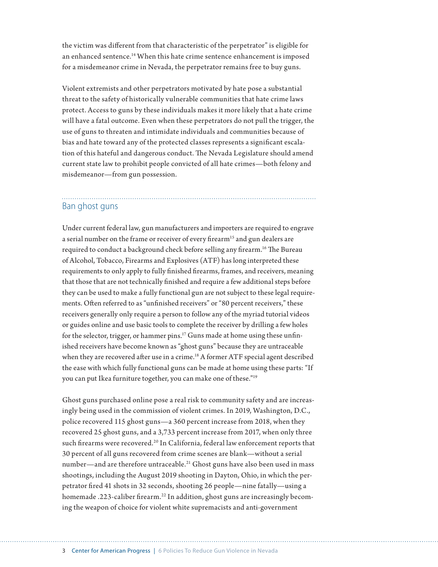the victim was different from that characteristic of the perpetrator" is eligible for an enhanced sentence.14 When this hate crime sentence enhancement is imposed for a misdemeanor crime in Nevada, the perpetrator remains free to buy guns.

Violent extremists and other perpetrators motivated by hate pose a substantial threat to the safety of historically vulnerable communities that hate crime laws protect. Access to guns by these individuals makes it more likely that a hate crime will have a fatal outcome. Even when these perpetrators do not pull the trigger, the use of guns to threaten and intimidate individuals and communities because of bias and hate toward any of the protected classes represents a significant escalation of this hateful and dangerous conduct. The Nevada Legislature should amend current state law to prohibit people convicted of all hate crimes—both felony and misdemeanor—from gun possession.

## Ban ghost guns

Under current federal law, gun manufacturers and importers are required to engrave a serial number on the frame or receiver of every firearm<sup>15</sup> and gun dealers are required to conduct a background check before selling any firearm.<sup>16</sup> The Bureau of Alcohol, Tobacco, Firearms and Explosives (ATF) has long interpreted these requirements to only apply to fully finished firearms, frames, and receivers, meaning that those that are not technically finished and require a few additional steps before they can be used to make a fully functional gun are not subject to these legal requirements. Often referred to as "unfinished receivers" or "80 percent receivers," these receivers generally only require a person to follow any of the myriad tutorial videos or guides online and use basic tools to complete the receiver by drilling a few holes for the selector, trigger, or hammer pins.<sup>17</sup> Guns made at home using these unfinished receivers have become known as "ghost guns" because they are untraceable when they are recovered after use in a crime.<sup>18</sup> A former ATF special agent described the ease with which fully functional guns can be made at home using these parts: "If you can put Ikea furniture together, you can make one of these."19

Ghost guns purchased online pose a real risk to community safety and are increasingly being used in the commission of violent crimes. In 2019, Washington, D.C., police recovered 115 ghost guns—a 360 percent increase from 2018, when they recovered 25 ghost guns, and a 3,733 percent increase from 2017, when only three such firearms were recovered.<sup>20</sup> In California, federal law enforcement reports that 30 percent of all guns recovered from crime scenes are blank—without a serial number—and are therefore untraceable.<sup>21</sup> Ghost guns have also been used in mass shootings, including the August 2019 shooting in Dayton, Ohio, in which the perpetrator fired 41 shots in 32 seconds, shooting 26 people—nine fatally—using a homemade .223-caliber firearm.<sup>22</sup> In addition, ghost guns are increasingly becoming the weapon of choice for violent white supremacists and anti-government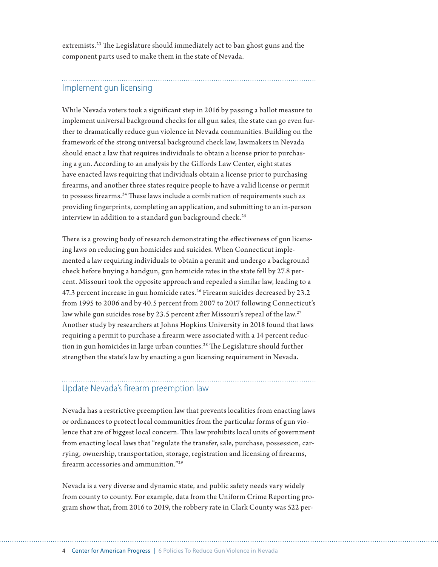extremists.<sup>23</sup> The Legislature should immediately act to ban ghost guns and the component parts used to make them in the state of Nevada.

## Implement gun licensing

While Nevada voters took a significant step in 2016 by passing a ballot measure to implement universal background checks for all gun sales, the state can go even further to dramatically reduce gun violence in Nevada communities. Building on the framework of the strong universal background check law, lawmakers in Nevada should enact a law that requires individuals to obtain a license prior to purchasing a gun. According to an analysis by the Giffords Law Center, eight states have enacted laws requiring that individuals obtain a license prior to purchasing firearms, and another three states require people to have a valid license or permit to possess firearms.<sup>24</sup> These laws include a combination of requirements such as providing fingerprints, completing an application, and submitting to an in-person interview in addition to a standard gun background check.<sup>25</sup>

There is a growing body of research demonstrating the effectiveness of gun licensing laws on reducing gun homicides and suicides. When Connecticut implemented a law requiring individuals to obtain a permit and undergo a background check before buying a handgun, gun homicide rates in the state fell by 27.8 percent. Missouri took the opposite approach and repealed a similar law, leading to a 47.3 percent increase in gun homicide rates.<sup>26</sup> Firearm suicides decreased by 23.2 from 1995 to 2006 and by 40.5 percent from 2007 to 2017 following Connecticut's law while gun suicides rose by 23.5 percent after Missouri's repeal of the law.<sup>27</sup> Another study by researchers at Johns Hopkins University in 2018 found that laws requiring a permit to purchase a firearm were associated with a 14 percent reduction in gun homicides in large urban counties.<sup>28</sup> The Legislature should further strengthen the state's law by enacting a gun licensing requirement in Nevada.

### Update Nevada's firearm preemption law

Nevada has a restrictive preemption law that prevents localities from enacting laws or ordinances to protect local communities from the particular forms of gun violence that are of biggest local concern. This law prohibits local units of government from enacting local laws that "regulate the transfer, sale, purchase, possession, carrying, ownership, transportation, storage, registration and licensing of firearms, firearm accessories and ammunition."29

Nevada is a very diverse and dynamic state, and public safety needs vary widely from county to county. For example, data from the Uniform Crime Reporting program show that, from 2016 to 2019, the robbery rate in Clark County was 522 per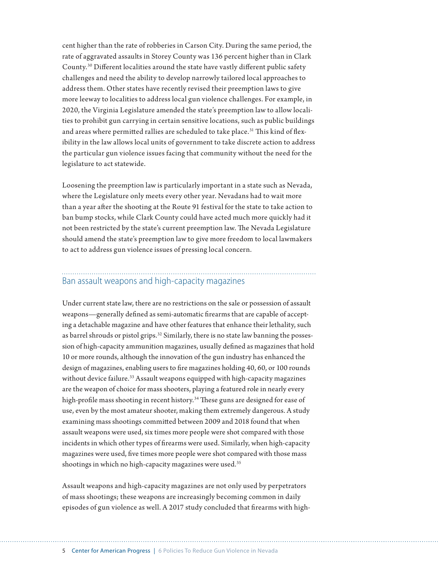cent higher than the rate of robberies in Carson City. During the same period, the rate of aggravated assaults in Storey County was 136 percent higher than in Clark County.30 Different localities around the state have vastly different public safety challenges and need the ability to develop narrowly tailored local approaches to address them. Other states have recently revised their preemption laws to give more leeway to localities to address local gun violence challenges. For example, in 2020, the Virginia Legislature amended the state's preemption law to allow localities to prohibit gun carrying in certain sensitive locations, such as public buildings and areas where permitted rallies are scheduled to take place.<sup>31</sup> This kind of flexibility in the law allows local units of government to take discrete action to address the particular gun violence issues facing that community without the need for the legislature to act statewide.

Loosening the preemption law is particularly important in a state such as Nevada, where the Legislature only meets every other year. Nevadans had to wait more than a year after the shooting at the Route 91 festival for the state to take action to ban bump stocks, while Clark County could have acted much more quickly had it not been restricted by the state's current preemption law. The Nevada Legislature should amend the state's preemption law to give more freedom to local lawmakers to act to address gun violence issues of pressing local concern.

## Ban assault weapons and high-capacity magazines

Under current state law, there are no restrictions on the sale or possession of assault weapons—generally defined as semi-automatic firearms that are capable of accepting a detachable magazine and have other features that enhance their lethality, such as barrel shrouds or pistol grips.<sup>32</sup> Similarly, there is no state law banning the possession of high-capacity ammunition magazines, usually defined as magazines that hold 10 or more rounds, although the innovation of the gun industry has enhanced the design of magazines, enabling users to fire magazines holding 40, 60, or 100 rounds without device failure.<sup>33</sup> Assault weapons equipped with high-capacity magazines are the weapon of choice for mass shooters, playing a featured role in nearly every high-profile mass shooting in recent history.<sup>34</sup> These guns are designed for ease of use, even by the most amateur shooter, making them extremely dangerous. A study examining mass shootings committed between 2009 and 2018 found that when assault weapons were used, six times more people were shot compared with those incidents in which other types of firearms were used. Similarly, when high-capacity magazines were used, five times more people were shot compared with those mass shootings in which no high-capacity magazines were used.<sup>35</sup>

Assault weapons and high-capacity magazines are not only used by perpetrators of mass shootings; these weapons are increasingly becoming common in daily episodes of gun violence as well. A 2017 study concluded that firearms with high-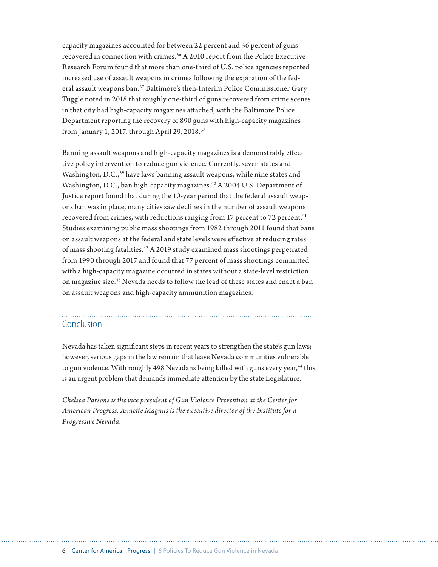capacity magazines accounted for between 22 percent and 36 percent of guns recovered in connection with crimes.36 A 2010 report from the Police Executive Research Forum found that more than one-third of U.S. police agencies reported increased use of assault weapons in crimes following the expiration of the federal assault weapons ban.<sup>37</sup> Baltimore's then-Interim Police Commissioner Gary Tuggle noted in 2018 that roughly one-third of guns recovered from crime scenes in that city had high-capacity magazines attached, with the Baltimore Police Department reporting the recovery of 890 guns with high-capacity magazines from January 1, 2017, through April 29, 2018.38

Banning assault weapons and high-capacity magazines is a demonstrably effective policy intervention to reduce gun violence. Currently, seven states and Washington, D.C.,<sup>39</sup> have laws banning assault weapons, while nine states and Washington, D.C., ban high-capacity magazines.<sup>40</sup> A 2004 U.S. Department of Justice report found that during the 10-year period that the federal assault weapons ban was in place, many cities saw declines in the number of assault weapons recovered from crimes, with reductions ranging from 17 percent to 72 percent.<sup>41</sup> Studies examining public mass shootings from 1982 through 2011 found that bans on assault weapons at the federal and state levels were effective at reducing rates of mass shooting fatalities.42 A 2019 study examined mass shootings perpetrated from 1990 through 2017 and found that 77 percent of mass shootings committed with a high-capacity magazine occurred in states without a state-level restriction on magazine size.43 Nevada needs to follow the lead of these states and enact a ban on assault weapons and high-capacity ammunition magazines.

### Conclusion

Nevada has taken significant steps in recent years to strengthen the state's gun laws; however, serious gaps in the law remain that leave Nevada communities vulnerable to gun violence. With roughly 498 Nevadans being killed with guns every year,<sup>44</sup> this is an urgent problem that demands immediate attention by the state Legislature.

*Chelsea Parsons is the vice president of Gun Violence Prevention at the Center for American Progress. Annette Magnus is the executive director of the Institute for a Progressive Nevada.*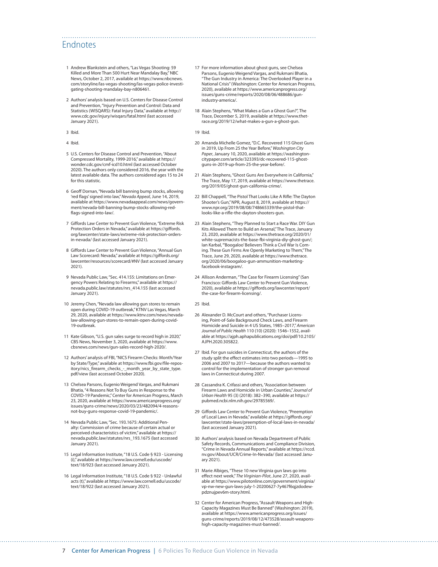#### Endnotes

- 1 Andrew Blankstein and others, "Las Vegas Shooting: 59 Killed and More Than 500 Hurt Near Mandalay Bay," NBC News, October 2, 2017, available at [https://www.nbcnews.](https://www.nbcnews.com/storyline/las-vegas-shooting/las-vegas-police-investigating-shooting-mandalay-bay-n806461) [com/storyline/las-vegas-shooting/las-vegas-police-investi](https://www.nbcnews.com/storyline/las-vegas-shooting/las-vegas-police-investigating-shooting-mandalay-bay-n806461)[gating-shooting-mandalay-bay-n806461.](https://www.nbcnews.com/storyline/las-vegas-shooting/las-vegas-police-investigating-shooting-mandalay-bay-n806461)
- 2 Authors' analysis based on U.S. Centers for Disease Control and Prevention, "Injury Prevention and Control: Data and Statistics (WISQARS): Fatal Injury Data," available at [http://](http://www.cdc.gov/injury/wisqars/fatal.html) [www.cdc.gov/injury/wisqars/fatal.html](http://www.cdc.gov/injury/wisqars/fatal.html) (last accessed January 2021).
- 3 Ibid.
- 4 Ibid.
- 5 U.S. Centers for Disease Control and Prevention, "About Compressed Mortality, 1999-2016," available at [https://](https://wonder.cdc.gov/cmf-icd10.html) [wonder.cdc.gov/cmf-icd10.html](https://wonder.cdc.gov/cmf-icd10.html) (last accessed October 2020). The authors only considered 2016, the year with the latest available data. The authors considered ages 15 to 24 for this statistic.
- 6 Geoff Dornan, "Nevada bill banning bump stocks, allowing 'red flags' signed into law," *Nevada Appeal*, June 14, 2019, available at [https://www.nevadaappeal.com/news/govern](https://www.nevadaappeal.com/news/government/nevada-bill-banning-bump-stocks-allowing-red-flags-signed-into-law/)[ment/nevada-bill-banning-bump-stocks-allowing-red](https://www.nevadaappeal.com/news/government/nevada-bill-banning-bump-stocks-allowing-red-flags-signed-into-law/)[flags-signed-into-law/](https://www.nevadaappeal.com/news/government/nevada-bill-banning-bump-stocks-allowing-red-flags-signed-into-law/).
- 7 Giffords Law Center to Prevent Gun Violence, "Extreme Risk Protection Orders in Nevada," available at [https://giffords.](https://giffords.org/lawcenter/state-laws/extreme-risk-protection-orders-in-nevada/) [org/lawcenter/state-laws/extreme-risk-protection-orders](https://giffords.org/lawcenter/state-laws/extreme-risk-protection-orders-in-nevada/)[in-nevada/](https://giffords.org/lawcenter/state-laws/extreme-risk-protection-orders-in-nevada/) (last accessed January 2021).
- 8 Giffords Law Center to Prevent Gun Violence, "Annual Gun Law Scorecard: Nevada," available at https://giffords.org/ lawcenter/resources/scorecard/#NV (last accessed January 2021).
- 9 Nevada Public Law, "Sec. 414.155: Limitations on Emergency Powers Relating to Firearms," available at [https://](https://nevada.public.law/statutes/nrs_414.155) [nevada.public.law/statutes/nrs\\_414.155](https://nevada.public.law/statutes/nrs_414.155) (last accessed January 2021).
- 10 Jeremy Chen, "Nevada law allowing gun stores to remain open during COVID-19 outbreak," KTNV Las Vegas, March 29, 2020, available at [https://www.ktnv.com/news/nevada](https://www.ktnv.com/news/nevada-law-allowing-gun-stores-to-remain-open-during-covid-19-outbreak)[law-allowing-gun-stores-to-remain-open-during-covid-](https://www.ktnv.com/news/nevada-law-allowing-gun-stores-to-remain-open-during-covid-19-outbreak)[19-outbreak](https://www.ktnv.com/news/nevada-law-allowing-gun-stores-to-remain-open-during-covid-19-outbreak).
- 11 Kate Gibson, "U.S. gun sales surge to record high in 2020," CBS News, November 3, 2020, available at [https://www.](https://www.cbsnews.com/news/gun-sales-record-high-2020/) [cbsnews.com/news/gun-sales-record-high-2020/](https://www.cbsnews.com/news/gun-sales-record-high-2020/).
- 12 Authors' analysis of FBI, "NICS Firearm Checks: Month/Year by State/Type," available at [https://www.fbi.gov/file-repos](https://www.fbi.gov/file-repository/nics_firearm_checks_-_month_year_by_state_type.pdf/view)[itory/nics\\_firearm\\_checks\\_-\\_month\\_year\\_by\\_state\\_type.](https://www.fbi.gov/file-repository/nics_firearm_checks_-_month_year_by_state_type.pdf/view) [pdf/view](https://www.fbi.gov/file-repository/nics_firearm_checks_-_month_year_by_state_type.pdf/view) (last accessed October 2020).
- 13 Chelsea Parsons, Eugenio Weigend Vargas, and Rukmani Bhatia, "4 Reasons Not To Buy Guns in Response to the COVID-19 Pandemic," Center for American Progress, March 23, 2020, available at [https://www.americanprogress.org/](https://www.americanprogress.org/issues/guns-crime/news/2020/03/23/482094/4-reasons-not-buy-guns-response-covid-19-pandemic/) [issues/guns-crime/news/2020/03/23/482094/4-reasons](https://www.americanprogress.org/issues/guns-crime/news/2020/03/23/482094/4-reasons-not-buy-guns-response-covid-19-pandemic/)[not-buy-guns-response-covid-19-pandemic/.](https://www.americanprogress.org/issues/guns-crime/news/2020/03/23/482094/4-reasons-not-buy-guns-response-covid-19-pandemic/)
- 14 Nevada Public Law, "Sec. 193.1675: Additional Penalty: Commission of crime because of certain actual or perceived characteristics of victim," available at [https://](https://nevada.public.law/statutes/nrs_193.1675) [nevada.public.law/statutes/nrs\\_193.1675](https://nevada.public.law/statutes/nrs_193.1675) (last accessed January 2021).
- 15 Legal Information Institute, "18 U.S. Code § 923 Licensing (i)," available at [https://www.law.cornell.edu/uscode/](https://www.law.cornell.edu/uscode/text/18/923) ...<br>[text/18/923](https://www.law.cornell.edu/uscode/text/18/923) (last accessed January 2021).
- 16 Legal Information Institute, "18 U.S. Code § 922 Unlawful acts (t)," available at [https://www.law.cornell.edu/uscode/](https://www.law.cornell.edu/uscode/text/18/922) [text/18/922](https://www.law.cornell.edu/uscode/text/18/922) (last accessed January 2021).
- 17 For more information about ghost guns, see Chelsea Parsons, Eugenio Weigend Vargas, and Rukmani Bhatia, "The Gun Industry in America: The Overlooked Player in a National Crisis" (Washington: Center for American Progress, 2020), available at [https://www.americanprogress.org/](https://www.americanprogress.org/issues/guns-crime/reports/2020/08/06/488686/gun-industry-america/) [issues/guns-crime/reports/2020/08/06/488686/gun](https://www.americanprogress.org/issues/guns-crime/reports/2020/08/06/488686/gun-industry-america/)[industry-america/](https://www.americanprogress.org/issues/guns-crime/reports/2020/08/06/488686/gun-industry-america/).
- 18 Alain Stephens, "What Makes a Gun a Ghost Gun?", The Trace, December 5, 2019, available at [https://www.thet](https://www.thetrace.org/2019/12/what-makes-a-gun-a-ghost-gun)[race.org/2019/12/what-makes-a-gun-a-ghost-gun](https://www.thetrace.org/2019/12/what-makes-a-gun-a-ghost-gun).

19 Ibid.

- 20 Amanda Michelle Gomez, "D.C. Recovered 115 Ghost Guns in 2019, Up From 25 the Year Before," *Washington City Paper*, January 10, 2020, available at [https://washington](https://washingtoncitypaper.com/article/323393/dc-recovered-115-ghost-guns-in-2019-up-from-25-the-year-before/)[citypaper.com/article/323393/dc-recovered-115-ghost](https://washingtoncitypaper.com/article/323393/dc-recovered-115-ghost-guns-in-2019-up-from-25-the-year-before/)[guns-in-2019-up-from-25-the-year-before/](https://washingtoncitypaper.com/article/323393/dc-recovered-115-ghost-guns-in-2019-up-from-25-the-year-before/).
- 21 Alain Stephens, "Ghost Guns Are Everywhere in California," The Trace, May 17, 2019, available at [https://www.thetrace.](https://www.thetrace.org/2019/05/ghost-gun-california-crime/) [org/2019/05/ghost-gun-california-crime/](https://www.thetrace.org/2019/05/ghost-gun-california-crime/).
- 22 Bill Chappell, "The Pistol That Looks Like A Rifle: The Dayton Shooter's Gun," NPR, August 8, 2019, available at [https://](https://www.npr.org/2019/08/08/748665339/the-pistol-that-looks-like-a-rifle-the-dayton-shooters-gun) [www.npr.org/2019/08/08/748665339/the-pistol-that](https://www.npr.org/2019/08/08/748665339/the-pistol-that-looks-like-a-rifle-the-dayton-shooters-gun)[looks-like-a-rifle-the-dayton-shooters-gun](https://www.npr.org/2019/08/08/748665339/the-pistol-that-looks-like-a-rifle-the-dayton-shooters-gun).
- 23 Alain Stephens, "They Planned to Start a Race War. DIY Gun Kits Allowed Them to Build an Arsenal," The Trace, January 23, 2020, available at [https://www.thetrace.org/2020/01/](https://www.thetrace.org/2020/01/white-supremacists-the-base-fbi-virginia-diy-ghost-gun/) [white-supremacists-the-base-fbi-virginia-diy-ghost-gun/](https://www.thetrace.org/2020/01/white-supremacists-the-base-fbi-virginia-diy-ghost-gun/); Ian Karbal, "'Boogaloo' Believers Think a Civil War Is Coming. These Gun Firms Are Openly Marketing to Them," The Trace, June 29, 2020, available at [https://www.thetrace.](https://www.thetrace.org/2020/06/boogaloo-gun-ammunition-marketing-facebook-instagram/) [org/2020/06/boogaloo-gun-ammunition-marketing](https://www.thetrace.org/2020/06/boogaloo-gun-ammunition-marketing-facebook-instagram/)[facebook-instagram/](https://www.thetrace.org/2020/06/boogaloo-gun-ammunition-marketing-facebook-instagram/).
- 24 Allison Anderman, "The Case for Firearm Licensing" (San Francisco: Giffords Law Center to Prevent Gun Violence, 2020), available at [https://giffords.org/lawcenter/report/](https://giffords.org/lawcenter/report/the-case-for-firearm-licensing/) [the-case-for-firearm-licensing/.](https://giffords.org/lawcenter/report/the-case-for-firearm-licensing/)
- 25 Ibid.
- 26 Alexander D. McCourt and others, "Purchaser Licensing, Point-of-Sale Background Check Laws, and Firearm Homicide and Suicide in 4 US States, 1985–2017," *American Journal of Public Health* 110 (10) (2020): 1546–1552, available at [https://ajph.aphapublications.org/doi/pdf/10.2105/](https://ajph.aphapublications.org/doi/pdf/10.2105/AJPH.2020.305822) [AJPH.2020.305822](https://ajph.aphapublications.org/doi/pdf/10.2105/AJPH.2020.305822).
- 27 Ibid. For gun suicides in Connecticut, the authors of the study split the effect estimates into two periods—1995 to 2006 and 2007 to 2017—because the authors wanted to control for the implementation of stronger gun removal laws in Connecticut during 2007.
- 28 Cassandra K. Crifassi and others, "Association between Firearm Laws and Homicide in Urban Counties," *Journal of Urban Health* 95 (3) (2018): 382–390, available at [https://](https://pubmed.ncbi.nlm.nih.gov/29785569/) [pubmed.ncbi.nlm.nih.gov/29785569/](https://pubmed.ncbi.nlm.nih.gov/29785569/).
- 29 Giffords Law Center to Prevent Gun Violence, "Preemption of Local Laws in Nevada," available at [https://giffords.org/](https://giffords.org/lawcenter/state-laws/preemption-of-local-laws-in-nevada/) [lawcenter/state-laws/preemption-of-local-laws-in-nevada/](https://giffords.org/lawcenter/state-laws/preemption-of-local-laws-in-nevada/) (last accessed January 2021).
- 30 Authors' analysis based on Nevada Department of Public Safety Records, Communications and Compliance Division, "Crime in Nevada Annual Reports," available at [https://rccd.](https://rccd.nv.gov/About/UCR/Crime-In-Nevada/) [nv.gov/About/UCR/Crime-In-Nevada/](https://rccd.nv.gov/About/UCR/Crime-In-Nevada/) (last accessed January 2021).
- 31 Marie Albiges, "These 10 new Virginia gun laws go into effect next week," *The Virginian-Pilot*, June 27, 2020, available at [https://www.pilotonline.com/government/virginia/](https://www.pilotonline.com/government/virginia/vp-nw-new-gun-laws-july-1-20200627-7y467f6qjzdodewpdznujpev6m-story.html) [vp-nw-new-gun-laws-july-1-20200627-7y467f6qjzdodew](https://www.pilotonline.com/government/virginia/vp-nw-new-gun-laws-july-1-20200627-7y467f6qjzdodewpdznujpev6m-story.html)[pdznujpev6m-story.html](https://www.pilotonline.com/government/virginia/vp-nw-new-gun-laws-july-1-20200627-7y467f6qjzdodewpdznujpev6m-story.html).
- 32 Center for American Progress, "Assault Weapons and High-Capacity Magazines Must Be Banned" (Washington: 2019), available at [https://www.americanprogress.org/issues/](https://www.americanprogress.org/issues/guns-crime/reports/2019/08/12/473528/assault-weapons-high-capacity-magazines-must-banned/) [guns-crime/reports/2019/08/12/473528/assault-weapons](https://www.americanprogress.org/issues/guns-crime/reports/2019/08/12/473528/assault-weapons-high-capacity-magazines-must-banned/)[high-capacity-magazines-must-banned/](https://www.americanprogress.org/issues/guns-crime/reports/2019/08/12/473528/assault-weapons-high-capacity-magazines-must-banned/).